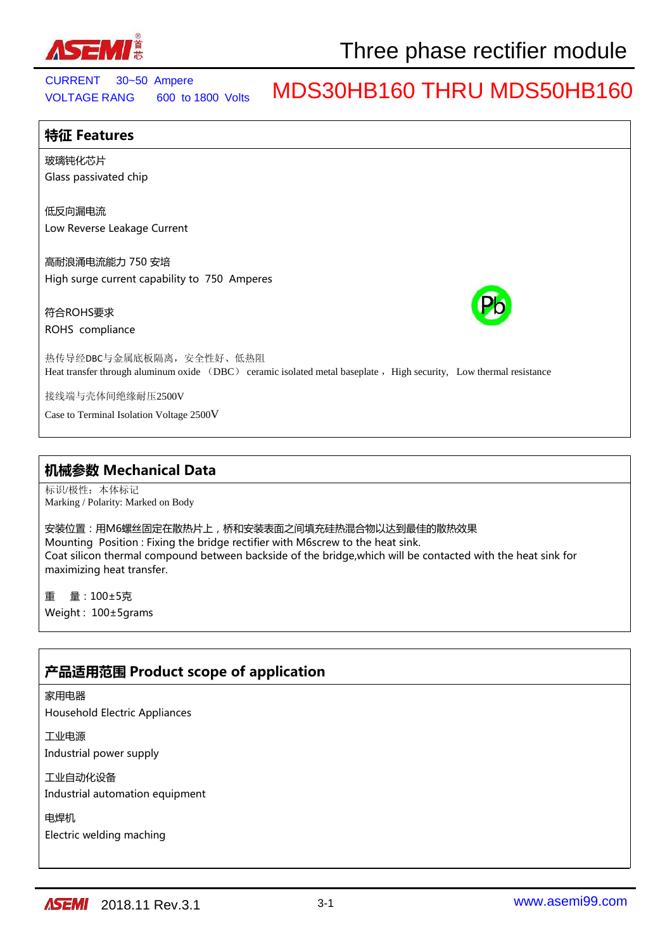

VOLTAGE RANG 600 to 1800 Volts CURRENT 30~50 Ampere

## MDS30HB160 THRU MDS50HB160

## **特征 Features** 玻璃钝化芯片 Glass passivated chip 低反向漏电流 Low Reverse Leakage Current 高耐浪涌电流能力 750 安培 High surge current capability to 750 Amperes 符合ROHS要求 ROHS compliance 热传导经DBC与金属底板隔离,安全性好、低热阻 Heat transfer through aluminum oxide (DBC) ceramic isolated metal baseplate , High security, Low thermal resistance 接线端与壳体间绝缘耐压2500V Case to Terminal Isolation Voltage 2500V

## **机械参数 Mechanical Data**

标识/极性:本体标记 Marking / Polarity: Marked on Body

安装位置:用M6螺丝固定在散热片上,桥和安装表面之间填充硅热混合物以达到最佳的散热效果 Mounting Position : Fixing the bridge rectifier with M6screw to the heat sink. Coat silicon thermal compound between backside of the bridge,which will be contacted with the heat sink for maximizing heat transfer.

重 量:100±5克 Weight : 100±5grams

## **产品适用范围 Product scope of application**

### 家用电器

Household Electric Appliances

工业电源 Industrial power supply

工业自动化设备

Industrial automation equipment

电焊机

Electric welding maching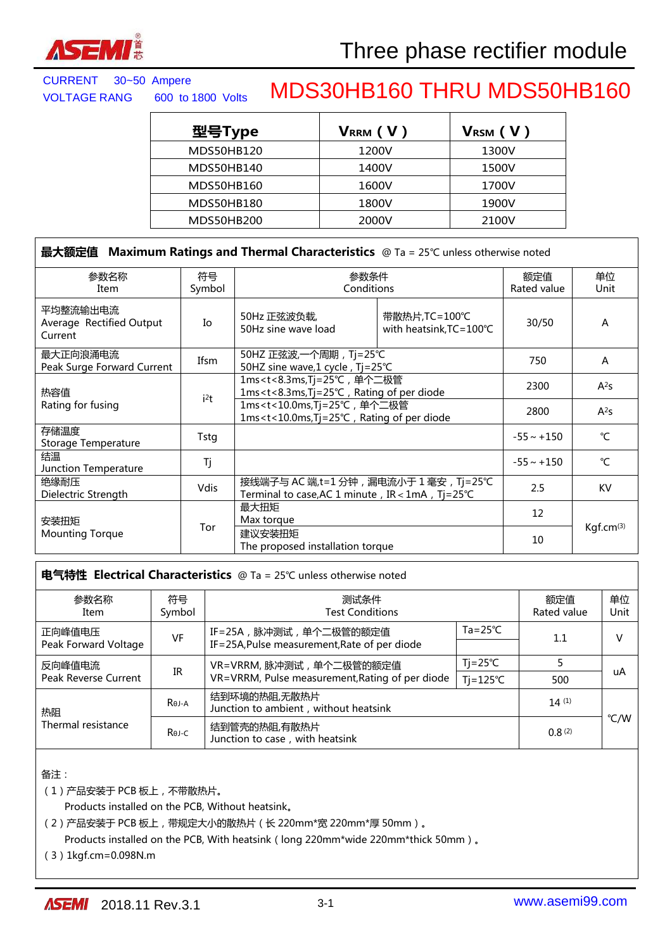

| 型号Type     | VRRM (V) | V <sub>RSM</sub> (V) |
|------------|----------|----------------------|
| MDS50HB120 | 1200V    | 1300V                |
| MDS50HB140 | 1400V    | 1500V                |
| MDS50HB160 | 1600V    | 1700V                |
| MDS50HB180 | 1800V    | 1900V                |
| MDS50HB200 | 2000V    | 2100V                |

| 最大额定值 Maximum Ratings and Thermal Characteristics @ Ta = 25°C unless otherwise noted |              |                                                                                                                                                                     |                                                     |                    |             |
|--------------------------------------------------------------------------------------|--------------|---------------------------------------------------------------------------------------------------------------------------------------------------------------------|-----------------------------------------------------|--------------------|-------------|
| 参数名称<br>Item                                                                         | 符号<br>Symbol | 参数条件<br>Conditions                                                                                                                                                  |                                                     | 额定值<br>Rated value | 单位<br>Unit  |
| 平均整流输出电流<br>Average Rectified Output<br>Current                                      | Io           | 50Hz 正弦波负载,<br>50Hz sine wave load                                                                                                                                  | 带散热片, TC=100℃<br>with heatsink, $TC = 100^{\circ}C$ | 30/50              | A           |
| 最大正向浪涌电流<br>Peak Surge Forward Current                                               | Ifsm         | 50HZ 正弦波, 一个周期, Tj=25℃<br>50HZ sine wave,1 cycle, Tj=25℃                                                                                                            |                                                     | 750                | A           |
| 热容值<br>i <sup>2</sup> t<br>Rating for fusing                                         |              | 1ms <t<8.3ms, tj="25℃," 单个二极管<br="">1ms<t<8.3ms, diode<="" of="" per="" rating="" td="" tj="25℃,"><td>2300</td><td><math>A^2S</math></td></t<8.3ms,></t<8.3ms,>     |                                                     | 2300               | $A^2S$      |
|                                                                                      |              | 1ms <t<10.0ms, tj="25℃," 单个二极管<br="">1ms<t<10.0ms, diode<="" of="" per="" rating="" td="" tj="25℃,"><td>2800</td><td><math>A^2S</math></td></t<10.0ms,></t<10.0ms,> |                                                     | 2800               | $A^2S$      |
| 存储温度<br>Storage Temperature                                                          | Tstg         |                                                                                                                                                                     |                                                     | $-55 \sim +150$    | $^{\circ}C$ |
| 结温<br>Junction Temperature                                                           | Tj           |                                                                                                                                                                     |                                                     | $-55 \sim +150$    | °C          |
| 绝缘耐压<br>Dielectric Strength                                                          | <b>Vdis</b>  | 接线端子与 AC 端,t=1 分钟 , 漏电流小于 1 毫安 , Tj=25℃<br>Terminal to case, AC 1 minute, IR < 1mA, Tj=25°C                                                                         |                                                     | 2.5                | <b>KV</b>   |
| 安装扭矩                                                                                 |              | 最大扭矩<br>Max torque                                                                                                                                                  |                                                     | 12                 |             |
| <b>Mounting Torque</b>                                                               | Tor          | 建议安装扭矩<br>The proposed installation torque                                                                                                                          |                                                     | 10                 | Kgf.cm(3)   |

| 电气特性 Electrical Characteristics @ Ta = 25°C unless otherwise noted |                                                 |                                                       |                    |                    |            |  |
|--------------------------------------------------------------------|-------------------------------------------------|-------------------------------------------------------|--------------------|--------------------|------------|--|
| 参数名称<br>Item                                                       | 符号<br>Symbol                                    | 测试条件<br><b>Test Conditions</b>                        |                    | 额定值<br>Rated value | 单位<br>Unit |  |
| 正向峰值电压<br>VF<br>Peak Forward Voltage                               | IF=25A, 脉冲测试, 单个二极管的额定值                         | $Ta = 25^{\circ}C$                                    | 1.1                |                    |            |  |
|                                                                    |                                                 | IF=25A, Pulse measurement, Rate of per diode          |                    |                    |            |  |
| 反向峰值电流<br>IR<br>Peak Reverse Current                               |                                                 | VR=VRRM, 脉冲测试, 单个二极管的额定值                              | $Ti = 25^{\circ}C$ |                    | uA         |  |
|                                                                    | VR=VRRM, Pulse measurement, Rating of per diode | $Ti=125^{\circ}C$                                     | 500                |                    |            |  |
| 热阻                                                                 | Rej-A                                           | 结到环境的热阻,无散热片<br>Junction to ambient, without heatsink |                    | 14(1)              |            |  |
| Thermal resistance                                                 | Rej-C                                           | 结到管壳的热阻,有散热片<br>Junction to case, with heatsink       |                    | 0.8(2)             | °C/W       |  |

备注:

(1)产品安装于 PCB 板上,不带散热片。

Products installed on the PCB, Without heatsink。

(2)产品安装于 PCB 板上,带规定大小的散热片(长 220mm\*宽 220mm\*厚 50mm)。

Products installed on the PCB, With heatsink (long 220mm\*wide 220mm\*thick 50mm).

(3)1kgf.cm=0.098N.m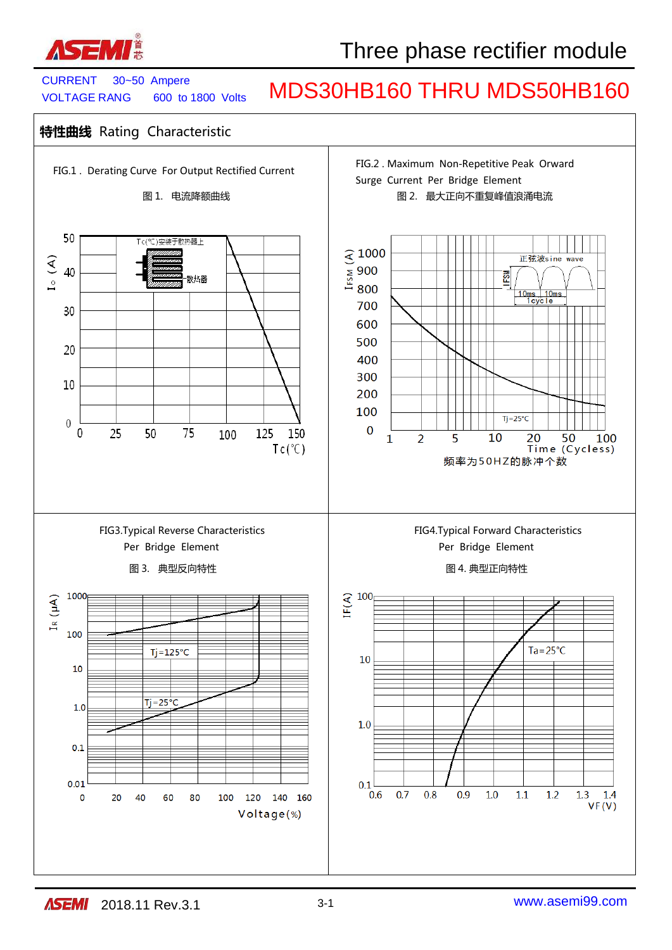

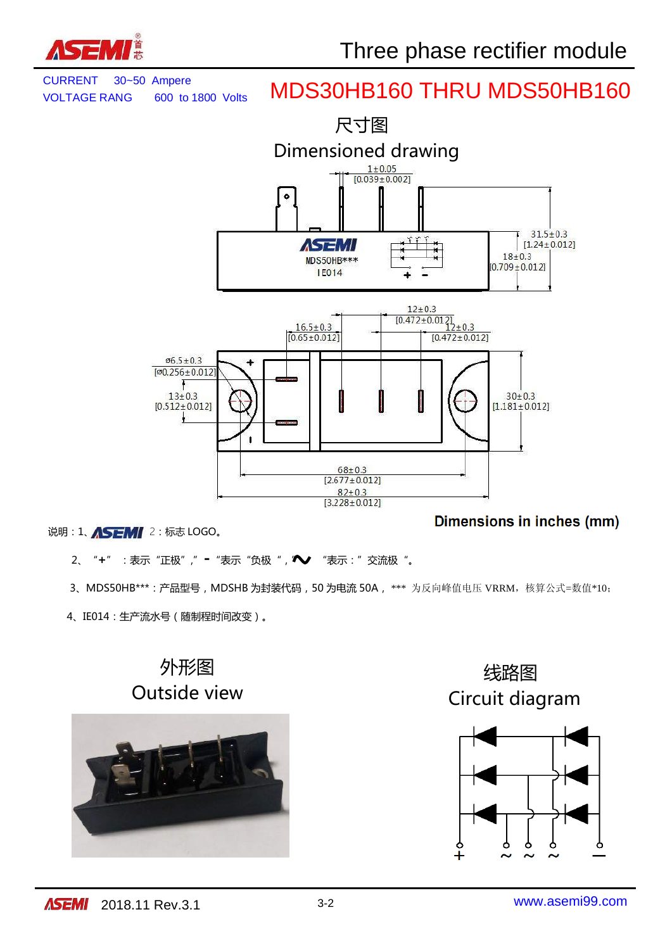





说明: 1、 ASEMI 2: 标志 LOGO。

Dimensions in inches (mm)

- 2、"**+**" : 表示"正极"," = "表示"负极", / ▼ "表示:"交流极"。
- 3、MDS50HB\*\*\*: 产品型号, MDSHB 为封装代码, 50 为电流 50A, \*\*\* 为反向峰值电压 VRRM, 核算公式=数值\*10;
- 4、IE014:生产流水号(随制程时间改变)。

# 外形图



 线路图 Outside view Circuit diagram